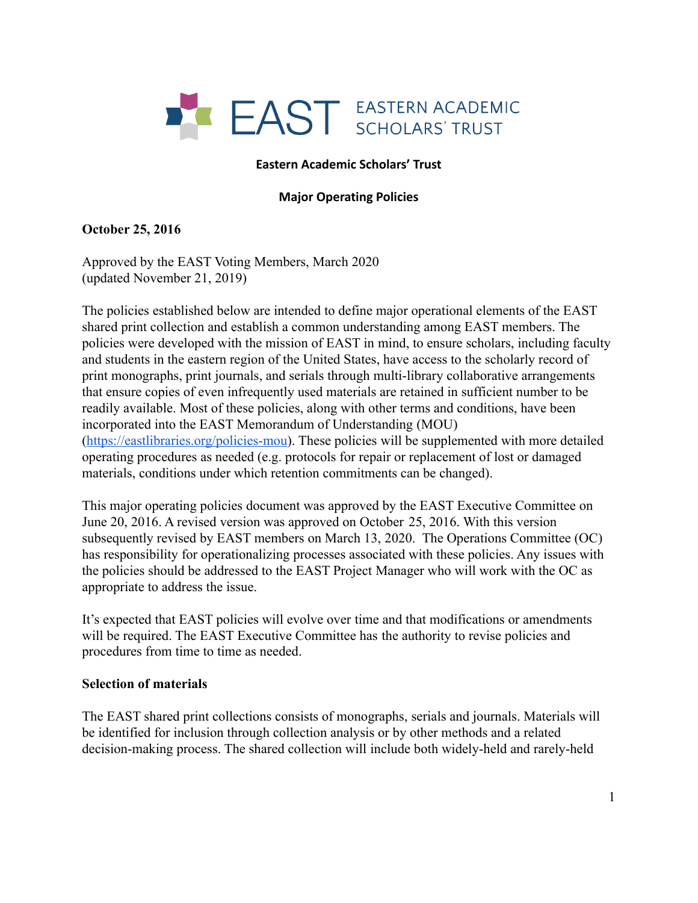

### **Eastern Academic Scholars' Trust**

#### **Major Operating Policies**

### **October 25, 2016**

Approved by the EAST Voting Members, March 2020 (updated November 21, 2019)

The policies established below are intended to define major operational elements of the EAST shared print collection and establish a common understanding among EAST members. The policies were developed with the mission of EAST in mind, to ensure scholars, including faculty and students in the eastern region of the United States, have access to the scholarly record of print monographs, print journals, and serials through multi-library collaborative arrangements that ensure copies of even infrequently used materials are retained in sufficient number to be readily available. Most of these policies, along with other terms and conditions, have been incorporated into the EAST Memorandum of Understanding (MOU) (<https://eastlibraries.org/policies-mou>). These policies will be supplemented with more detailed operating procedures as needed (e.g. protocols for repair or replacement of lost or damaged materials, conditions under which retention commitments can be changed).

This major operating policies document was approved by the EAST Executive Committee on June 20, 2016. A revised version was approved on October 25, 2016. With this version subsequently revised by EAST members on March 13, 2020. The Operations Committee (OC) has responsibility for operationalizing processes associated with these policies. Any issues with the policies should be addressed to the EAST Project Manager who will work with the OC as appropriate to address the issue.

It's expected that EAST policies will evolve over time and that modifications or amendments will be required. The EAST Executive Committee has the authority to revise policies and procedures from time to time as needed.

#### **Selection of materials**

The EAST shared print collections consists of monographs, serials and journals. Materials will be identified for inclusion through collection analysis or by other methods and a related decision-making process. The shared collection will include both widely-held and rarely-held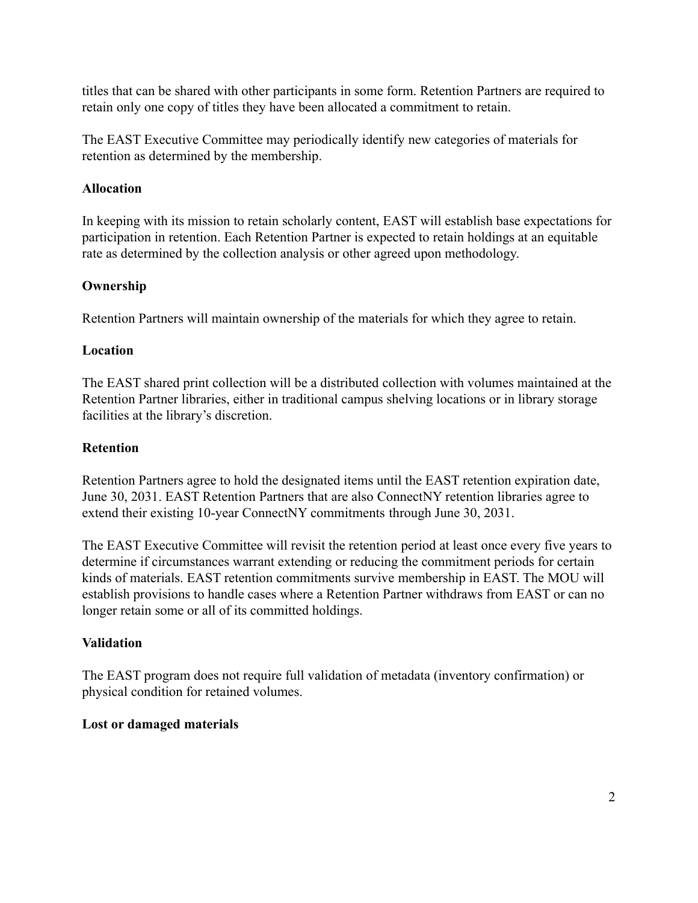titles that can be shared with other participants in some form. Retention Partners are required to retain only one copy of titles they have been allocated a commitment to retain.

The EAST Executive Committee may periodically identify new categories of materials for retention as determined by the membership.

# **Allocation**

In keeping with its mission to retain scholarly content, EAST will establish base expectations for participation in retention. Each Retention Partner is expected to retain holdings at an equitable rate as determined by the collection analysis or other agreed upon methodology.

## **Ownership**

Retention Partners will maintain ownership of the materials for which they agree to retain.

## **Location**

The EAST shared print collection will be a distributed collection with volumes maintained at the Retention Partner libraries, either in traditional campus shelving locations or in library storage facilities at the library's discretion.

## **Retention**

Retention Partners agree to hold the designated items until the EAST retention expiration date, June 30, 2031. EAST Retention Partners that are also ConnectNY retention libraries agree to extend their existing 10-year ConnectNY commitments through June 30, 2031.

The EAST Executive Committee will revisit the retention period at least once every five years to determine if circumstances warrant extending or reducing the commitment periods for certain kinds of materials. EAST retention commitments survive membership in EAST. The MOU will establish provisions to handle cases where a Retention Partner withdraws from EAST or can no longer retain some or all of its committed holdings.

## **Validation**

The EAST program does not require full validation of metadata (inventory confirmation) or physical condition for retained volumes.

## **Lost or damaged materials**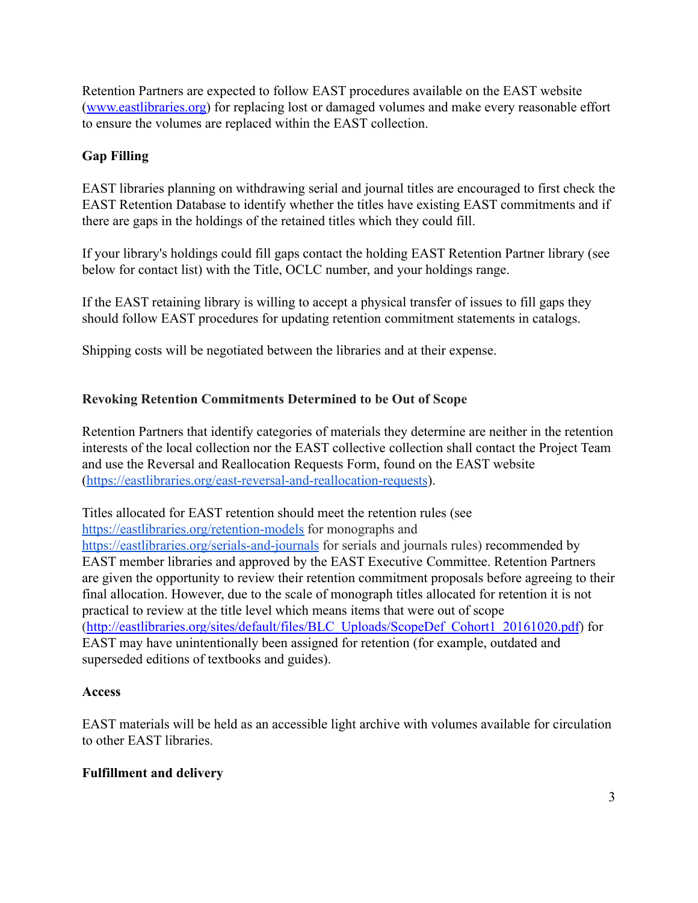Retention Partners are expected to follow EAST procedures available on the EAST website ([www.eastlibraries.org\)](http://www.eastlibraries.org) for replacing lost or damaged volumes and make every reasonable effort to ensure the volumes are replaced within the EAST collection.

# **Gap Filling**

EAST libraries planning on withdrawing serial and journal titles are encouraged to first check the EAST Retention Database to identify whether the titles have existing EAST commitments and if there are gaps in the holdings of the retained titles which they could fill.

If your library's holdings could fill gaps contact the holding EAST Retention Partner library (see below for contact list) with the Title, OCLC number, and your holdings range.

If the EAST retaining library is willing to accept a physical transfer of issues to fill gaps they should follow EAST procedures for updating retention commitment statements in catalogs.

Shipping costs will be negotiated between the libraries and at their expense.

# **Revoking Retention Commitments Determined to be Out of Scope**

Retention Partners that identify categories of materials they determine are neither in the retention interests of the local collection nor the EAST collective collection shall contact the Project Team and use the Reversal and Reallocation Requests Form, found on the EAST website (<https://eastlibraries.org/east-reversal-and-reallocation-requests>).

Titles allocated for EAST retention should meet the retention rules (see <https://eastlibraries.org/retention-models> for monographs and <https://eastlibraries.org/serials-and-journals> for serials and journals rules) recommended by EAST member libraries and approved by the EAST Executive Committee. Retention Partners are given the opportunity to review their retention commitment proposals before agreeing to their final allocation. However, due to the scale of monograph titles allocated for retention it is not practical to review at the title level which means items that were out of scope ([http://eastlibraries.org/sites/default/files/BLC\\_Uploads/ScopeDef\\_Cohort1\\_20161020.pdf](http://eastlibraries.org/sites/default/files/BLC_Uploads/ScopeDef_Cohort1_20161020.pdf)) for EAST may have unintentionally been assigned for retention (for example, outdated and superseded editions of textbooks and guides).

## **Access**

EAST materials will be held as an accessible light archive with volumes available for circulation to other EAST libraries.

## **Fulfillment and delivery**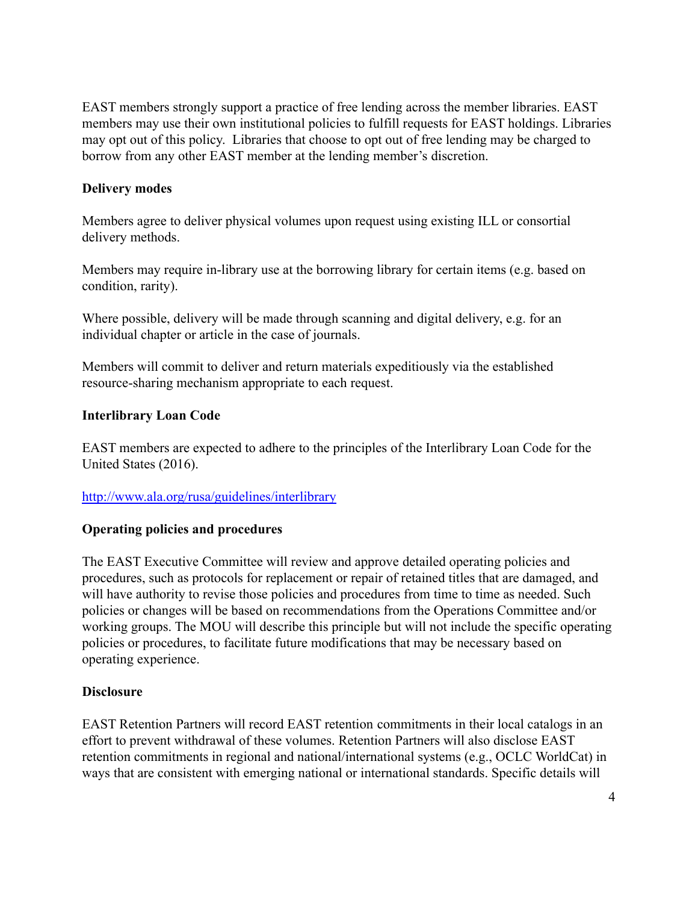EAST members strongly support a practice of free lending across the member libraries. EAST members may use their own institutional policies to fulfill requests for EAST holdings. Libraries may opt out of this policy. Libraries that choose to opt out of free lending may be charged to borrow from any other EAST member at the lending member's discretion.

### **Delivery modes**

Members agree to deliver physical volumes upon request using existing ILL or consortial delivery methods.

Members may require in-library use at the borrowing library for certain items (e.g. based on condition, rarity).

Where possible, delivery will be made through scanning and digital delivery, e.g. for an individual chapter or article in the case of journals.

Members will commit to deliver and return materials expeditiously via the established resource-sharing mechanism appropriate to each request.

## **Interlibrary Loan Code**

EAST members are expected to adhere to the principles of the Interlibrary Loan Code for the United States (2016).

## <http://www.ala.org/rusa/guidelines/interlibrary>

## **Operating policies and procedures**

The EAST Executive Committee will review and approve detailed operating policies and procedures, such as protocols for replacement or repair of retained titles that are damaged, and will have authority to revise those policies and procedures from time to time as needed. Such policies or changes will be based on recommendations from the Operations Committee and/or working groups. The MOU will describe this principle but will not include the specific operating policies or procedures, to facilitate future modifications that may be necessary based on operating experience.

## **Disclosure**

EAST Retention Partners will record EAST retention commitments in their local catalogs in an effort to prevent withdrawal of these volumes. Retention Partners will also disclose EAST retention commitments in regional and national/international systems (e.g., OCLC WorldCat) in ways that are consistent with emerging national or international standards. Specific details will